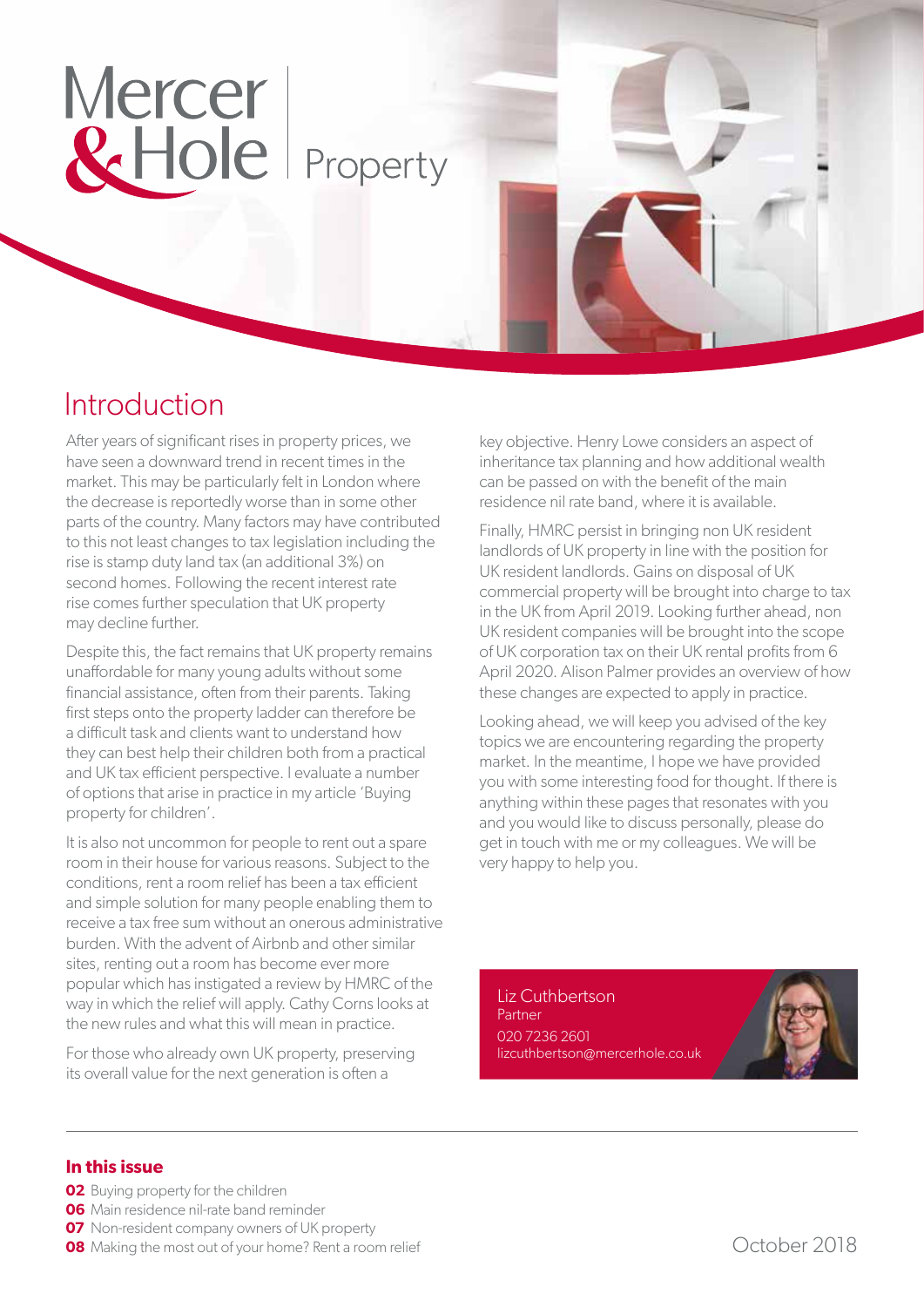# Mercer & Hole Property

### Introduction

After years of significant rises in property prices, we have seen a downward trend in recent times in the market. This may be particularly felt in London where the decrease is reportedly worse than in some other parts of the country. Many factors may have contributed to this not least changes to tax legislation including the rise is stamp duty land tax (an additional 3%) on second homes. Following the recent interest rate rise comes further speculation that UK property may decline further.

Despite this, the fact remains that UK property remains unaffordable for many young adults without some financial assistance, often from their parents. Taking first steps onto the property ladder can therefore be a difficult task and clients want to understand how they can best help their children both from a practical and UK tax efficient perspective. I evaluate a number of options that arise in practice in my article 'Buying property for children'.

It is also not uncommon for people to rent out a spare room in their house for various reasons. Subject to the conditions, rent a room relief has been a tax efficient and simple solution for many people enabling them to receive a tax free sum without an onerous administrative burden. With the advent of Airbnb and other similar sites, renting out a room has become ever more popular which has instigated a review by HMRC of the way in which the relief will apply. Cathy Corns looks at the new rules and what this will mean in practice.

For those who already own UK property, preserving its overall value for the next generation is often a

key objective. Henry Lowe considers an aspect of inheritance tax planning and how additional wealth can be passed on with the benefit of the main residence nil rate band, where it is available.

Finally, HMRC persist in bringing non UK resident landlords of UK property in line with the position for UK resident landlords. Gains on disposal of UK commercial property will be brought into charge to tax in the UK from April 2019. Looking further ahead, non UK resident companies will be brought into the scope of UK corporation tax on their UK rental profits from 6 April 2020. Alison Palmer provides an overview of how these changes are expected to apply in practice.

Looking ahead, we will keep you advised of the key topics we are encountering regarding the property market. In the meantime, I hope we have provided you with some interesting food for thought. If there is anything within these pages that resonates with you and you would like to discuss personally, please do get in touch with me or my colleagues. We will be very happy to help you.

Liz Cuthbertson Partner 020 7236 2601 lizcuthbertson@mercerhole.co.uk

#### **In this issue**

- **02** Buying property for the children
- **06** Main residence nil-rate band reminder
- **07** Non-resident company owners of UK property
- **08** Making the most out of your home? Rent a room relief COLO COLOBER 2018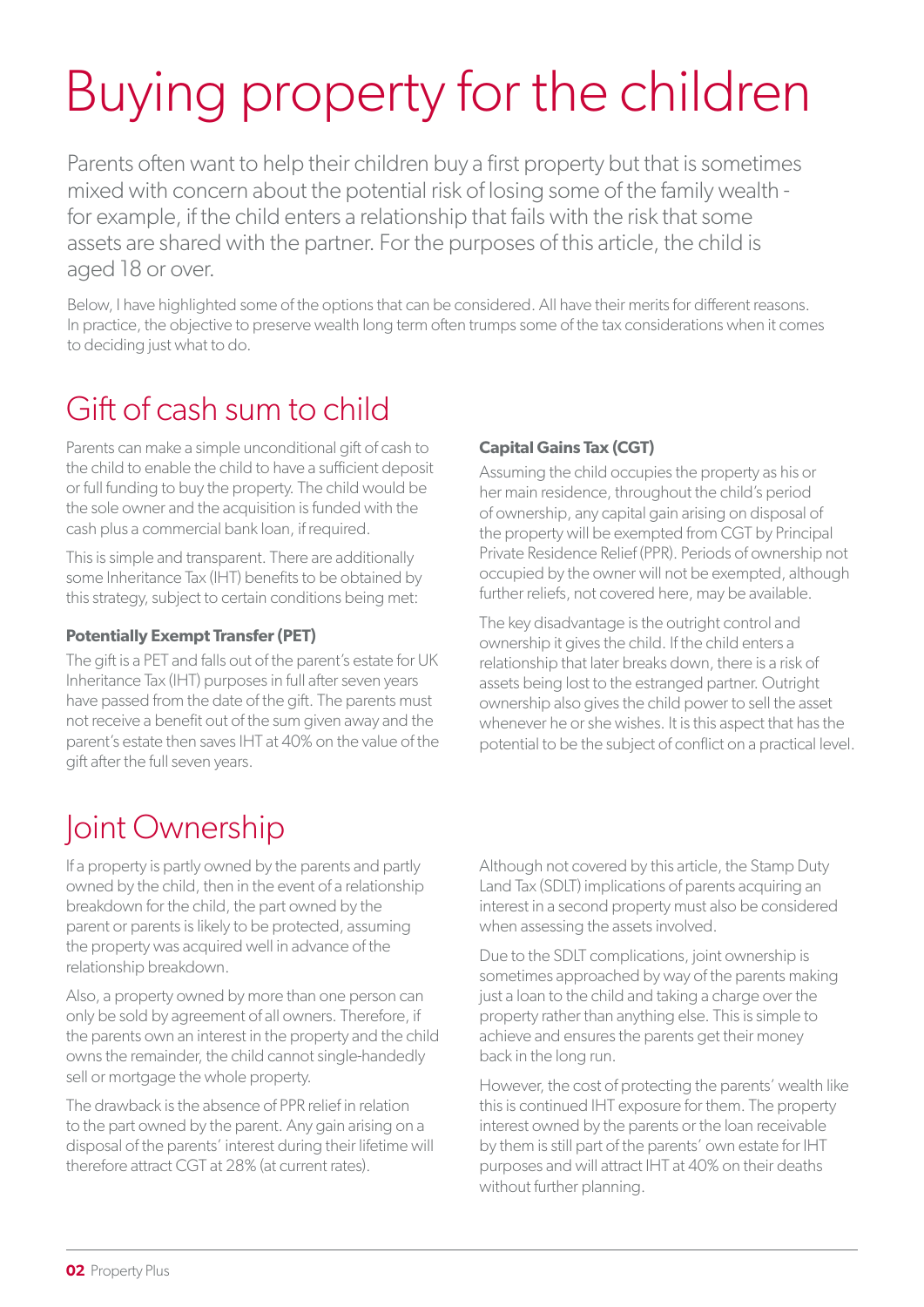# Buying property for the children

Parents often want to help their children buy a first property but that is sometimes mixed with concern about the potential risk of losing some of the family wealth for example, if the child enters a relationship that fails with the risk that some assets are shared with the partner. For the purposes of this article, the child is aged 18 or over.

Below, I have highlighted some of the options that can be considered. All have their merits for different reasons. In practice, the objective to preserve wealth long term often trumps some of the tax considerations when it comes to deciding just what to do.

### Gift of cash sum to child

Parents can make a simple unconditional gift of cash to the child to enable the child to have a sufficient deposit or full funding to buy the property. The child would be the sole owner and the acquisition is funded with the cash plus a commercial bank loan, if required.

This is simple and transparent. There are additionally some Inheritance Tax (IHT) benefits to be obtained by this strategy, subject to certain conditions being met:

#### **Potentially Exempt Transfer (PET)**

The gift is a PET and falls out of the parent's estate for UK Inheritance Tax (IHT) purposes in full after seven years have passed from the date of the gift. The parents must not receive a benefit out of the sum given away and the parent's estate then saves IHT at 40% on the value of the gift after the full seven years.

#### **Capital Gains Tax (CGT)**

Assuming the child occupies the property as his or her main residence, throughout the child's period of ownership, any capital gain arising on disposal of the property will be exempted from CGT by Principal Private Residence Relief (PPR). Periods of ownership not occupied by the owner will not be exempted, although further reliefs, not covered here, may be available.

The key disadvantage is the outright control and ownership it gives the child. If the child enters a relationship that later breaks down, there is a risk of assets being lost to the estranged partner. Outright ownership also gives the child power to sell the asset whenever he or she wishes. It is this aspect that has the potential to be the subject of conflict on a practical level.

### Joint Ownership

If a property is partly owned by the parents and partly owned by the child, then in the event of a relationship breakdown for the child, the part owned by the parent or parents is likely to be protected, assuming the property was acquired well in advance of the relationship breakdown.

Also, a property owned by more than one person can only be sold by agreement of all owners. Therefore, if the parents own an interest in the property and the child owns the remainder, the child cannot single-handedly sell or mortgage the whole property.

The drawback is the absence of PPR relief in relation to the part owned by the parent. Any gain arising on a disposal of the parents' interest during their lifetime will therefore attract CGT at 28% (at current rates).

Although not covered by this article, the Stamp Duty Land Tax (SDLT) implications of parents acquiring an interest in a second property must also be considered when assessing the assets involved.

Due to the SDLT complications, joint ownership is sometimes approached by way of the parents making just a loan to the child and taking a charge over the property rather than anything else. This is simple to achieve and ensures the parents get their money back in the long run.

However, the cost of protecting the parents' wealth like this is continued IHT exposure for them. The property interest owned by the parents or the loan receivable by them is still part of the parents' own estate for IHT purposes and will attract IHT at 40% on their deaths without further planning.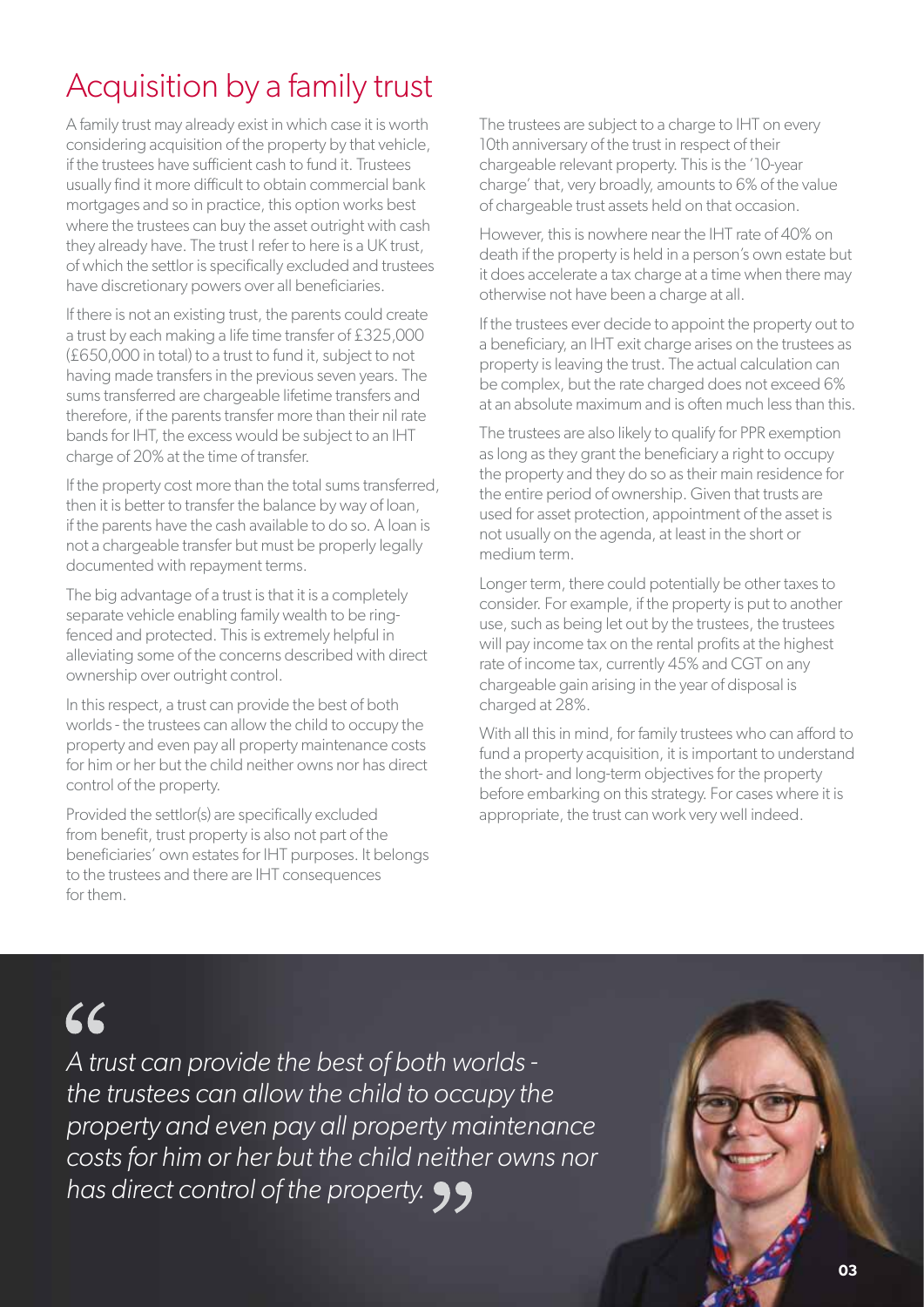## Acquisition by a family trust

A family trust may already exist in which case it is worth considering acquisition of the property by that vehicle, if the trustees have sufficient cash to fund it. Trustees usually find it more difficult to obtain commercial bank mortgages and so in practice, this option works best where the trustees can buy the asset outright with cash they already have. The trust I refer to here is a UK trust, of which the settlor is specifically excluded and trustees have discretionary powers over all beneficiaries.

If there is not an existing trust, the parents could create a trust by each making a life time transfer of £325,000 (£650,000 in total) to a trust to fund it, subject to not having made transfers in the previous seven years. The sums transferred are chargeable lifetime transfers and therefore, if the parents transfer more than their nil rate bands for IHT, the excess would be subject to an IHT charge of 20% at the time of transfer.

If the property cost more than the total sums transferred, then it is better to transfer the balance by way of loan, if the parents have the cash available to do so. A loan is not a chargeable transfer but must be properly legally documented with repayment terms.

The big advantage of a trust is that it is a completely separate vehicle enabling family wealth to be ringfenced and protected. This is extremely helpful in alleviating some of the concerns described with direct ownership over outright control.

In this respect, a trust can provide the best of both worlds - the trustees can allow the child to occupy the property and even pay all property maintenance costs for him or her but the child neither owns nor has direct control of the property.

Provided the settlor(s) are specifically excluded from benefit, trust property is also not part of the beneficiaries' own estates for IHT purposes. It belongs to the trustees and there are IHT consequences for them.

The trustees are subject to a charge to IHT on every 10th anniversary of the trust in respect of their chargeable relevant property. This is the '10-year charge' that, very broadly, amounts to 6% of the value of chargeable trust assets held on that occasion.

However, this is nowhere near the IHT rate of 40% on death if the property is held in a person's own estate but it does accelerate a tax charge at a time when there may otherwise not have been a charge at all.

If the trustees ever decide to appoint the property out to a beneficiary, an IHT exit charge arises on the trustees as property is leaving the trust. The actual calculation can be complex, but the rate charged does not exceed 6% at an absolute maximum and is often much less than this.

The trustees are also likely to qualify for PPR exemption as long as they grant the beneficiary a right to occupy the property and they do so as their main residence for the entire period of ownership. Given that trusts are used for asset protection, appointment of the asset is not usually on the agenda, at least in the short or medium term.

Longer term, there could potentially be other taxes to consider. For example, if the property is put to another use, such as being let out by the trustees, the trustees will pay income tax on the rental profits at the highest rate of income tax, currently 45% and CGT on any chargeable gain arising in the year of disposal is charged at 28%.

With all this in mind, for family trustees who can afford to fund a property acquisition, it is important to understand the short- and long-term objectives for the property before embarking on this strategy. For cases where it is appropriate, the trust can work very well indeed.

## 66

*A trust can provide the best of both worlds the trustees can allow the child to occupy the property and even pay all property maintenance costs for him or her but the child neither owns nor has direct control of the property.*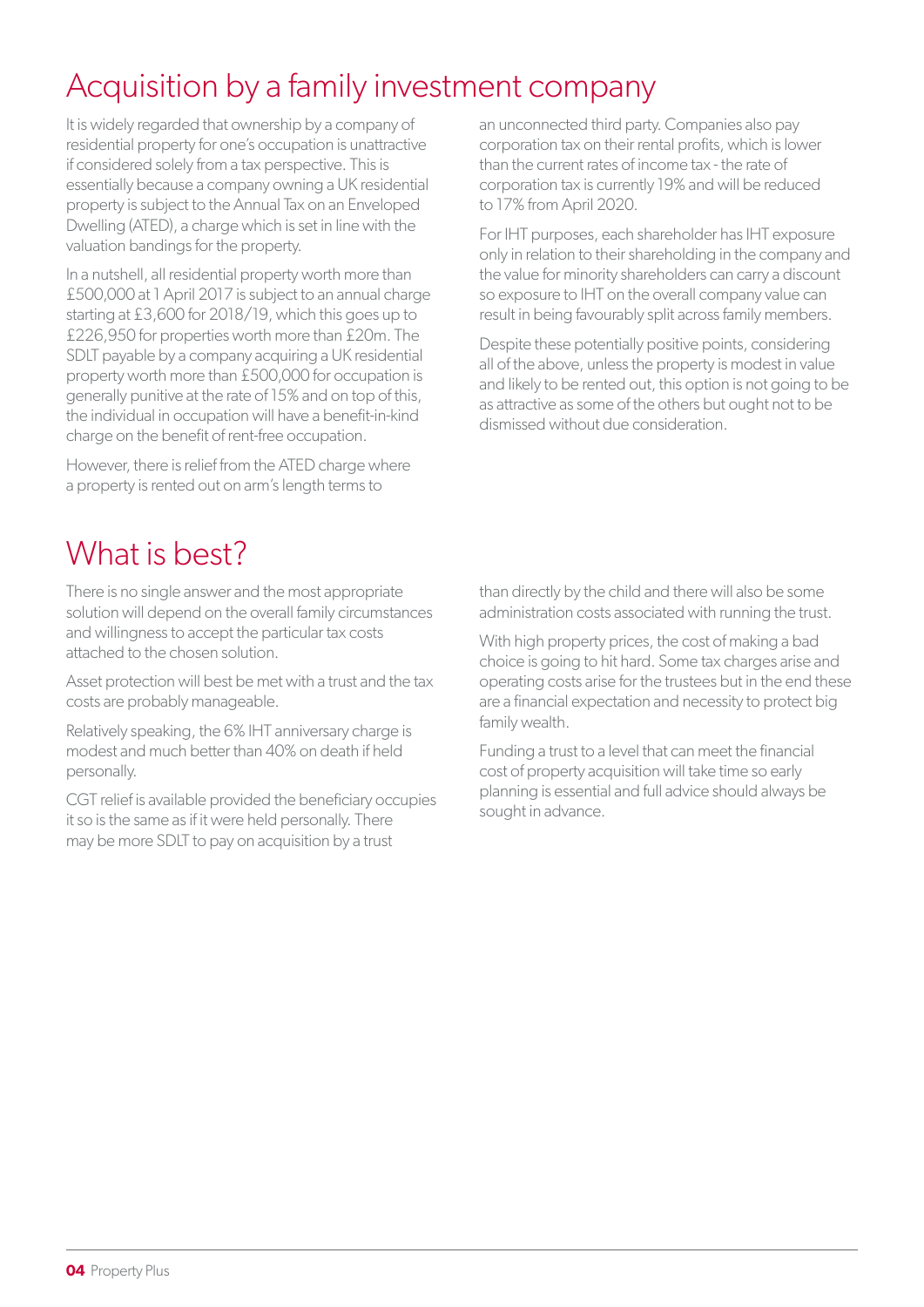## Acquisition by a family investment company

It is widely regarded that ownership by a company of residential property for one's occupation is unattractive if considered solely from a tax perspective. This is essentially because a company owning a UK residential property is subject to the Annual Tax on an Enveloped Dwelling (ATED), a charge which is set in line with the valuation bandings for the property.

In a nutshell, all residential property worth more than £500,000 at 1 April 2017 is subject to an annual charge starting at £3,600 for 2018/19, which this goes up to £226,950 for properties worth more than £20m. The SDLT payable by a company acquiring a UK residential property worth more than £500,000 for occupation is generally punitive at the rate of 15% and on top of this, the individual in occupation will have a benefit-in-kind charge on the benefit of rent-free occupation.

However, there is relief from the ATED charge where a property is rented out on arm's length terms to

What is best?

There is no single answer and the most appropriate solution will depend on the overall family circumstances and willingness to accept the particular tax costs attached to the chosen solution.

Asset protection will best be met with a trust and the tax costs are probably manageable.

Relatively speaking, the 6% IHT anniversary charge is modest and much better than 40% on death if held personally.

CGT relief is available provided the beneficiary occupies it so is the same as if it were held personally. There may be more SDLT to pay on acquisition by a trust

an unconnected third party. Companies also pay corporation tax on their rental profits, which is lower than the current rates of income tax - the rate of corporation tax is currently 19% and will be reduced to 17% from April 2020.

For IHT purposes, each shareholder has IHT exposure only in relation to their shareholding in the company and the value for minority shareholders can carry a discount so exposure to IHT on the overall company value can result in being favourably split across family members.

Despite these potentially positive points, considering all of the above, unless the property is modest in value and likely to be rented out, this option is not going to be as attractive as some of the others but ought not to be dismissed without due consideration.

than directly by the child and there will also be some administration costs associated with running the trust.

With high property prices, the cost of making a bad choice is going to hit hard. Some tax charges arise and operating costs arise for the trustees but in the end these are a financial expectation and necessity to protect big family wealth.

Funding a trust to a level that can meet the financial cost of property acquisition will take time so early planning is essential and full advice should always be sought in advance.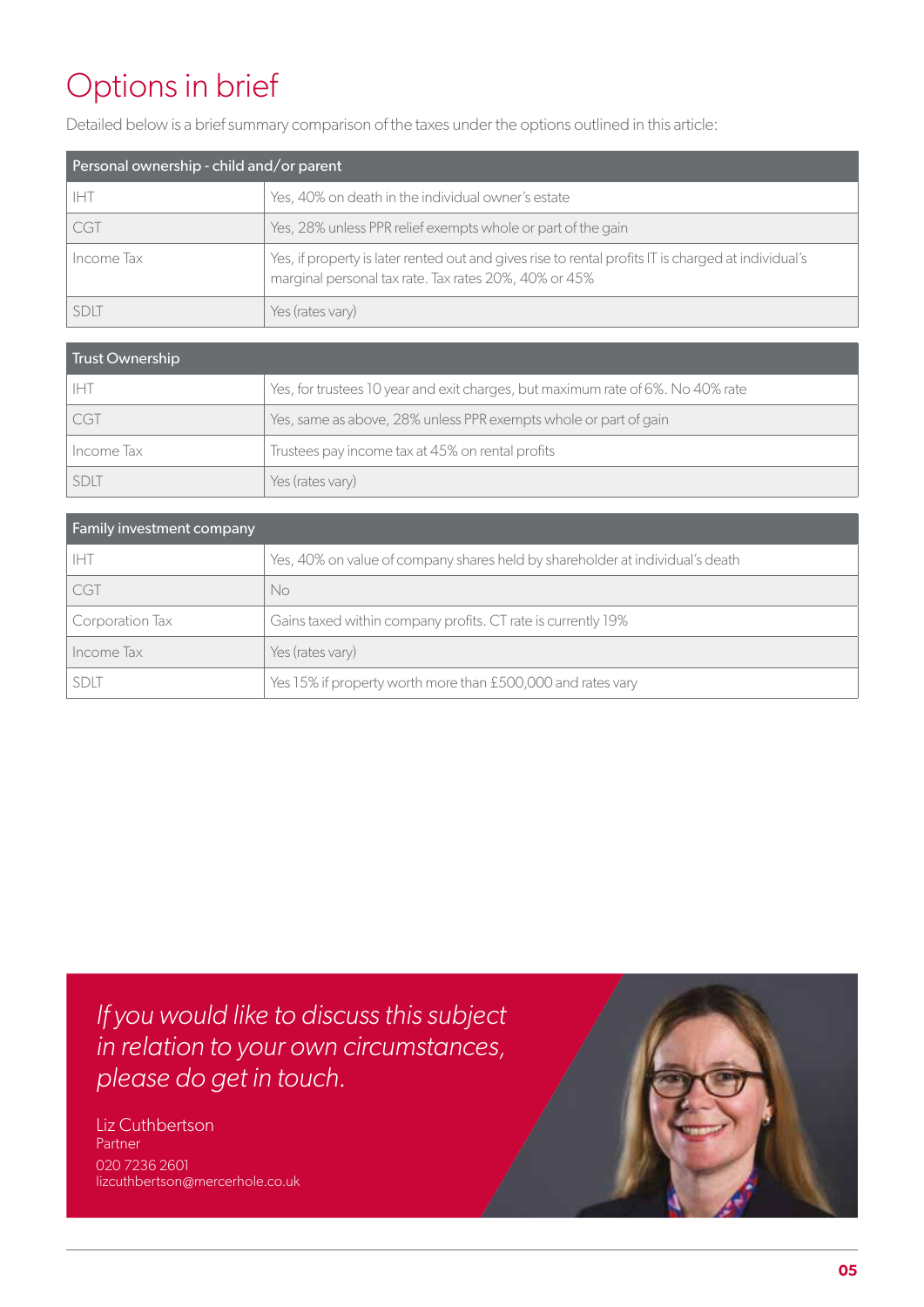## Options in brief

Detailed below is a brief summary comparison of the taxes under the options outlined in this article:

| Personal ownership - child and/or parent |                                                                                                                                                              |  |
|------------------------------------------|--------------------------------------------------------------------------------------------------------------------------------------------------------------|--|
| <b>IHT</b>                               | Yes, 40% on death in the individual owner's estate                                                                                                           |  |
| CGT                                      | Yes, 28% unless PPR relief exempts whole or part of the gain                                                                                                 |  |
| Income Tax                               | Yes, if property is later rented out and gives rise to rental profits IT is charged at individual's<br>marginal personal tax rate. Tax rates 20%, 40% or 45% |  |
| SDIT                                     | Yes (rates vary)                                                                                                                                             |  |

| Trust Ownership |                                                                                 |
|-----------------|---------------------------------------------------------------------------------|
| IHT             | Yes, for trustees 10 year and exit charges, but maximum rate of 6%. No 40% rate |
| <b>CGT</b>      | Yes, same as above, 28% unless PPR exempts whole or part of gain                |
| Income Tax      | Trustees pay income tax at 45% on rental profits                                |
| <b>SDLT</b>     | Yes (rates vary)                                                                |

| <b>Family investment company</b> |                                                                               |  |
|----------------------------------|-------------------------------------------------------------------------------|--|
| <b>IHT</b>                       | Yes, 40% on value of company shares held by shareholder at individual's death |  |
| <b>CGT</b>                       | No                                                                            |  |
| Corporation Tax                  | Gains taxed within company profits. CT rate is currently 19%                  |  |
| Income Tax                       | Yes (rates vary)                                                              |  |
| <b>SDLT</b>                      | Yes 15% if property worth more than £500,000 and rates vary                   |  |

*If you would like to discuss this subject in relation to your own circumstances, please do get in touch.*

Liz Cuthbertson Partner 020 7236 2601 lizcuthbertson@mercerhole.co.uk

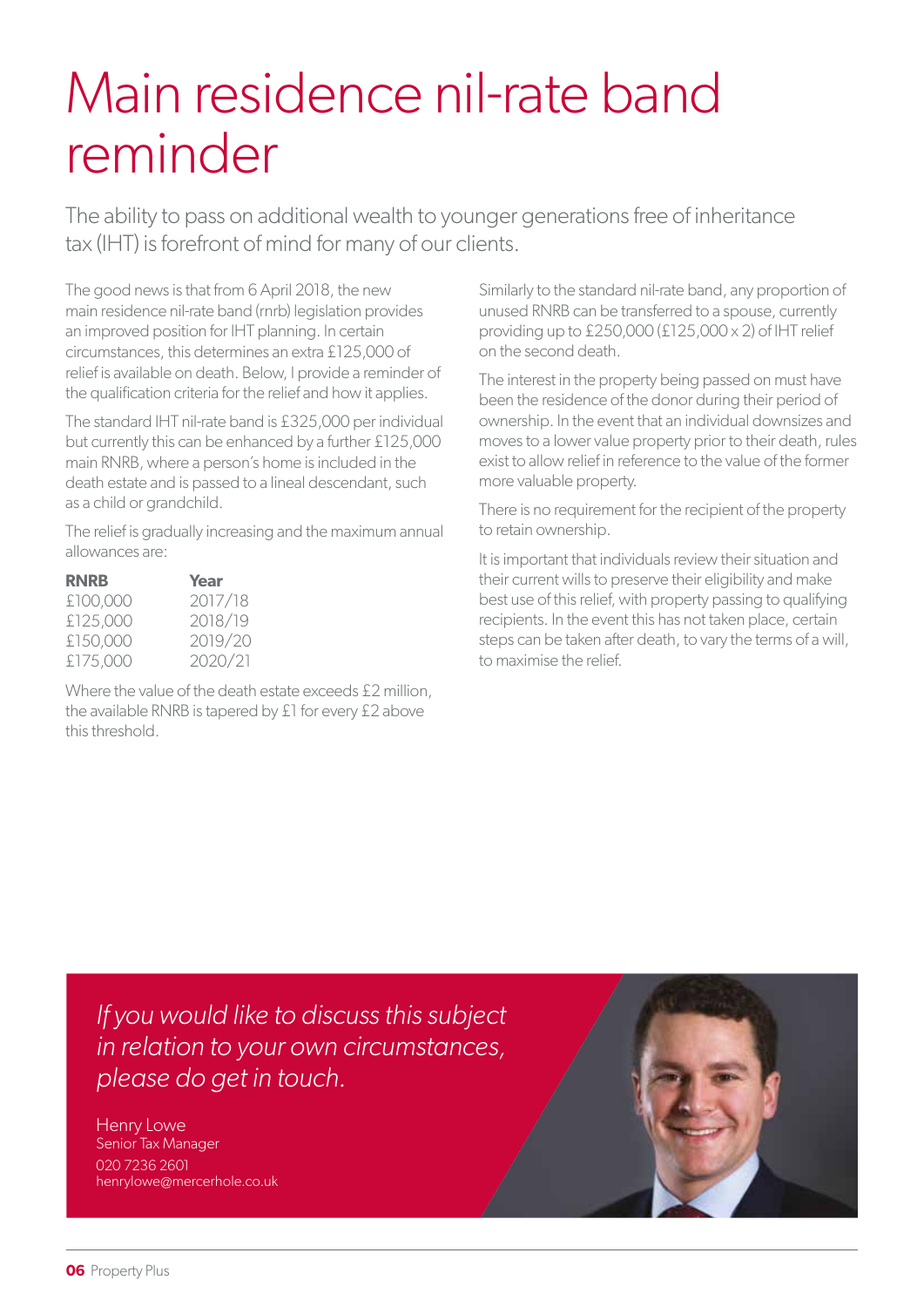## Main residence nil-rate band reminder

The ability to pass on additional wealth to younger generations free of inheritance tax (IHT) is forefront of mind for many of our clients.

The good news is that from 6 April 2018, the new main residence nil-rate band (rnrb) legislation provides an improved position for IHT planning. In certain circumstances, this determines an extra £125,000 of relief is available on death. Below, I provide a reminder of the qualification criteria for the relief and how it applies.

The standard IHT nil-rate band is £325,000 per individual but currently this can be enhanced by a further £125,000 main RNRB, where a person's home is included in the death estate and is passed to a lineal descendant, such as a child or grandchild.

The relief is gradually increasing and the maximum annual allowances are:

| <b>RNRB</b> | Year    |
|-------------|---------|
| £100,000    | 2017/18 |
| £125,000    | 2018/19 |
| £150,000    | 2019/20 |
| £175,000    | 2020/21 |

Where the value of the death estate exceeds £2 million, the available RNRB is tapered by £1 for every £2 above this threshold.

Similarly to the standard nil-rate band, any proportion of unused RNRB can be transferred to a spouse, currently providing up to £250,000 (£125,000 x 2) of IHT relief on the second death.

The interest in the property being passed on must have been the residence of the donor during their period of ownership. In the event that an individual downsizes and moves to a lower value property prior to their death, rules exist to allow relief in reference to the value of the former more valuable property.

There is no requirement for the recipient of the property to retain ownership.

It is important that individuals review their situation and their current wills to preserve their eligibility and make best use of this relief, with property passing to qualifying recipients. In the event this has not taken place, certain steps can be taken after death, to vary the terms of a will, to maximise the relief.

*If you would like to discuss this subject in relation to your own circumstances, please do get in touch.*

Henry Lowe Senior Tax Manager 020 7236 2601 henrylowe@mercerhole.co.uk

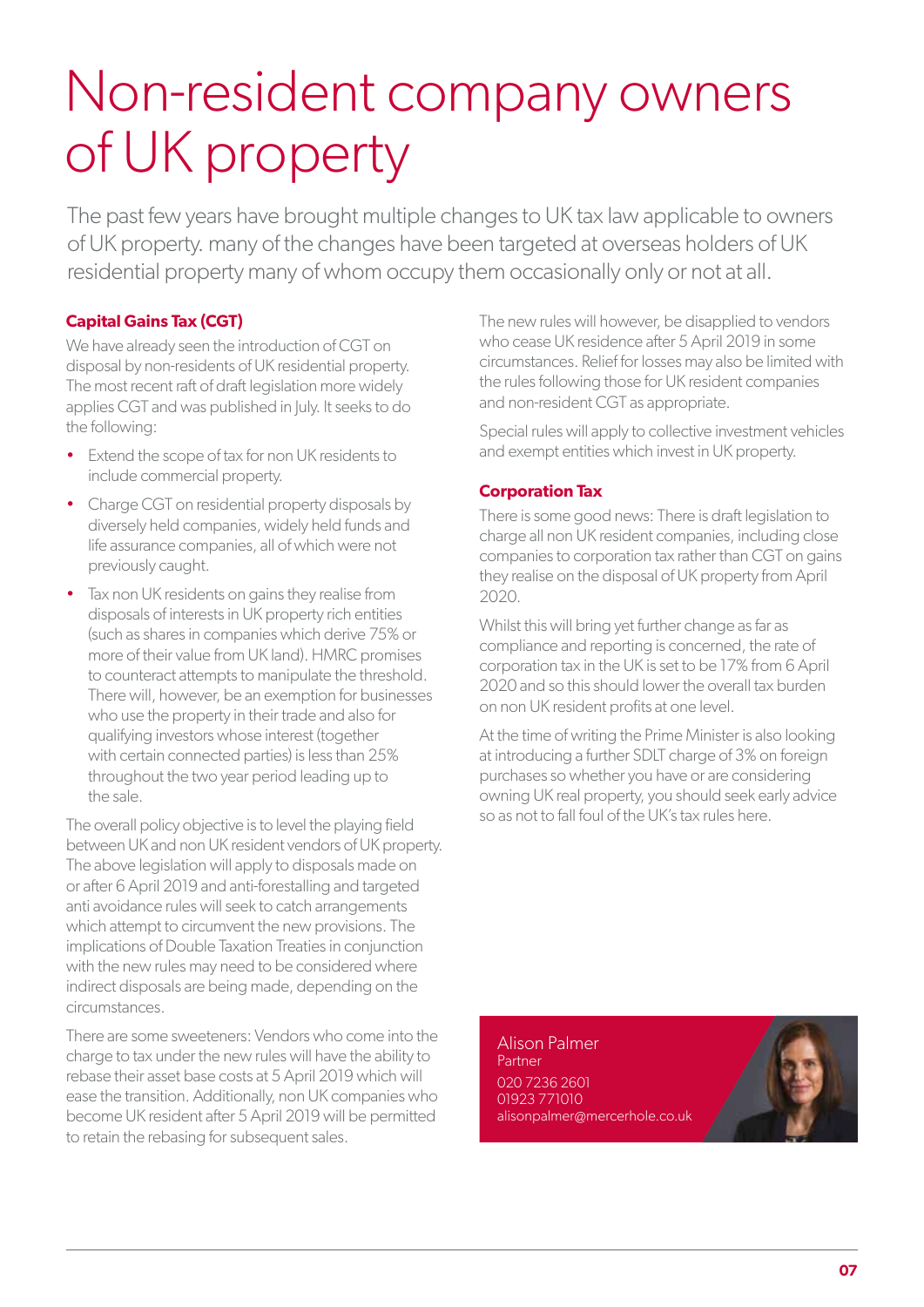## Non-resident company owners of UK property

The past few years have brought multiple changes to UK tax law applicable to owners of UK property. many of the changes have been targeted at overseas holders of UK residential property many of whom occupy them occasionally only or not at all.

#### **Capital Gains Tax (CGT)**

We have already seen the introduction of CGT on disposal by non-residents of UK residential property. The most recent raft of draft legislation more widely applies CGT and was published in July. It seeks to do the following:

- Extend the scope of tax for non UK residents to include commercial property.
- Charge CGT on residential property disposals by diversely held companies, widely held funds and life assurance companies, all of which were not previously caught.
- Tax non UK residents on gains they realise from disposals of interests in UK property rich entities (such as shares in companies which derive 75% or more of their value from UK land). HMRC promises to counteract attempts to manipulate the threshold. There will, however, be an exemption for businesses who use the property in their trade and also for qualifying investors whose interest (together with certain connected parties) is less than 25% throughout the two year period leading up to the sale.

The overall policy objective is to level the playing field between UK and non UK resident vendors of UK property. The above legislation will apply to disposals made on or after 6 April 2019 and anti-forestalling and targeted anti avoidance rules will seek to catch arrangements which attempt to circumvent the new provisions. The implications of Double Taxation Treaties in conjunction with the new rules may need to be considered where indirect disposals are being made, depending on the circumstances.

There are some sweeteners: Vendors who come into the charge to tax under the new rules will have the ability to rebase their asset base costs at 5 April 2019 which will ease the transition. Additionally, non UK companies who become UK resident after 5 April 2019 will be permitted to retain the rebasing for subsequent sales.

The new rules will however, be disapplied to vendors who cease UK residence after 5 April 2019 in some circumstances. Relief for losses may also be limited with the rules following those for UK resident companies and non-resident CGT as appropriate.

Special rules will apply to collective investment vehicles and exempt entities which invest in UK property.

#### **Corporation Tax**

There is some good news: There is draft legislation to charge all non UK resident companies, including close companies to corporation tax rather than CGT on gains they realise on the disposal of UK property from April 2020.

Whilst this will bring yet further change as far as compliance and reporting is concerned, the rate of corporation tax in the UK is set to be 17% from 6 April 2020 and so this should lower the overall tax burden on non UK resident profits at one level.

At the time of writing the Prime Minister is also looking at introducing a further SDLT charge of 3% on foreign purchases so whether you have or are considering owning UK real property, you should seek early advice so as not to fall foul of the UK's tax rules here.

Alison Palmer Partner 020 7236 2601 01923 771010 alisonpalmer@mercerhole.co.uk